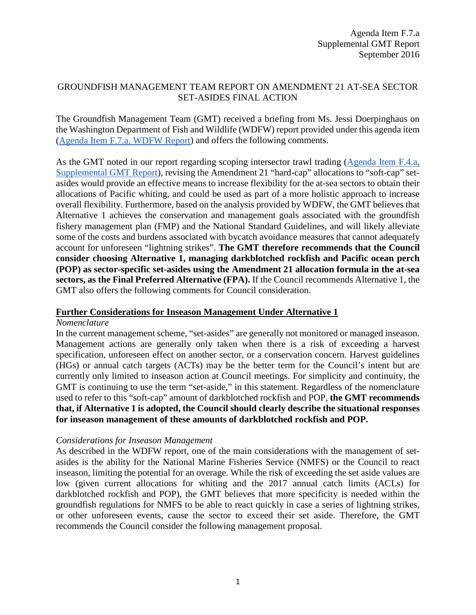# GROUNDFISH MANAGEMENT TEAM REPORT ON AMENDMENT 21 AT-SEA SECTOR SET-ASIDES FINAL ACTION

The Groundfish Management Team (GMT) received a briefing from Ms. Jessi Doerpinghaus on the Washington Department of Fish and Wildlife (WDFW) report provided under this agenda item [\(Agenda Item F.7.a, WDFW Report\)](http://www.pcouncil.org/wp-content/uploads/2016/08/F7a_WDFW_Report_SEPT2016BB.pdf) and offers the following comments.

As the GMT noted in our report regarding scoping intersector trawl trading [\(Agenda Item F.4.a,](http://www.pcouncil.org/wp-content/uploads/2016/09/F4a_Sup_GMT_Rpt_SEPT2016BB.pdf) [Supplemental GMT Report\)](http://www.pcouncil.org/wp-content/uploads/2016/09/F4a_Sup_GMT_Rpt_SEPT2016BB.pdf), revising the Amendment 21 "hard-cap" allocations to "soft-cap" setasides would provide an effective means to increase flexibility for the at-sea sectors to obtain their allocations of Pacific whiting, and could be used as part of a more holistic approach to increase overall flexibility. Furthermore, based on the analysis provided by WDFW, the GMT believes that Alternative 1 achieves the conservation and management goals associated with the groundfish fishery management plan (FMP) and the National Standard Guidelines, and will likely alleviate some of the costs and burdens associated with bycatch avoidance measures that cannot adequately account for unforeseen "lightning strikes". **The GMT therefore recommends that the Council consider choosing Alternative 1, managing darkblotched rockfish and Pacific ocean perch (POP) as sector-specific set-asides using the Amendment 21 allocation formula in the at-sea sectors, as the Final Preferred Alternative (FPA).** If the Council recommends Alternative 1, the GMT also offers the following comments for Council consideration.

### **Further Considerations for Inseason Management Under Alternative 1**

### *Nomenclature*

In the current management scheme, "set-asides" are generally not monitored or managed inseason. Management actions are generally only taken when there is a risk of exceeding a harvest specification, unforeseen effect on another sector, or a conservation concern. Harvest guidelines (HGs) or annual catch targets (ACTs) may be the better term for the Council's intent but are currently only limited to inseason action at Council meetings. For simplicity and continuity, the GMT is continuing to use the term "set-aside," in this statement. Regardless of the nomenclature used to refer to this "soft-cap" amount of darkblotched rockfish and POP, **the GMT recommends that, if Alternative 1 is adopted, the Council should clearly describe the situational responses for inseason management of these amounts of darkblotched rockfish and POP.**

### *Considerations for Inseason Management*

As described in the WDFW report, one of the main considerations with the management of setasides is the ability for the National Marine Fisheries Service (NMFS) or the Council to react inseason, limiting the potential for an overage. While the risk of exceeding the set aside values are low (given current allocations for whiting and the 2017 annual catch limits (ACLs) for darkblotched rockfish and POP), the GMT believes that more specificity is needed within the groundfish regulations for NMFS to be able to react quickly in case a series of lightning strikes, or other unforeseen events, cause the sector to exceed their set aside. Therefore, the GMT recommends the Council consider the following management proposal.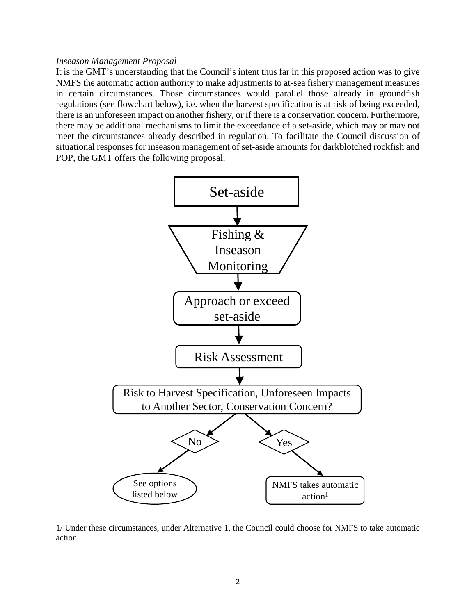### *Inseason Management Proposal*

It is the GMT's understanding that the Council's intent thus far in this proposed action was to give NMFS the automatic action authority to make adjustments to at-sea fishery management measures in certain circumstances. Those circumstances would parallel those already in groundfish regulations (see flowchart below), i.e. when the harvest specification is at risk of being exceeded, there is an unforeseen impact on another fishery, or if there is a conservation concern. Furthermore, there may be additional mechanisms to limit the exceedance of a set-aside, which may or may not meet the circumstances already described in regulation. To facilitate the Council discussion of situational responses for inseason management of set-aside amounts for darkblotched rockfish and POP, the GMT offers the following proposal.



1/ Under these circumstances, under Alternative 1, the Council could choose for NMFS to take automatic action.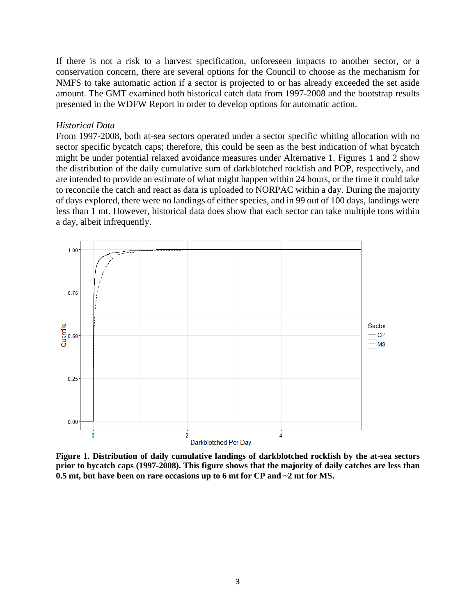If there is not a risk to a harvest specification, unforeseen impacts to another sector, or a conservation concern, there are several options for the Council to choose as the mechanism for NMFS to take automatic action if a sector is projected to or has already exceeded the set aside amount. The GMT examined both historical catch data from 1997-2008 and the bootstrap results presented in the WDFW Report in order to develop options for automatic action.

#### *Historical Data*

From 1997-2008, both at-sea sectors operated under a sector specific whiting allocation with no sector specific bycatch caps; therefore, this could be seen as the best indication of what bycatch might be under potential relaxed avoidance measures under Alternative 1. Figures 1 and 2 show the distribution of the daily cumulative sum of darkblotched rockfish and POP, respectively, and are intended to provide an estimate of what might happen within 24 hours, or the time it could take to reconcile the catch and react as data is uploaded to NORPAC within a day. During the majority of days explored, there were no landings of either species, and in 99 out of 100 days, landings were less than 1 mt. However, historical data does show that each sector can take multiple tons within a day, albeit infrequently.



**Figure 1. Distribution of daily cumulative landings of darkblotched rockfish by the at-sea sectors prior to bycatch caps (1997-2008). This figure shows that the majority of daily catches are less than 0.5 mt, but have been on rare occasions up to 6 mt for CP and ~2 mt for MS.**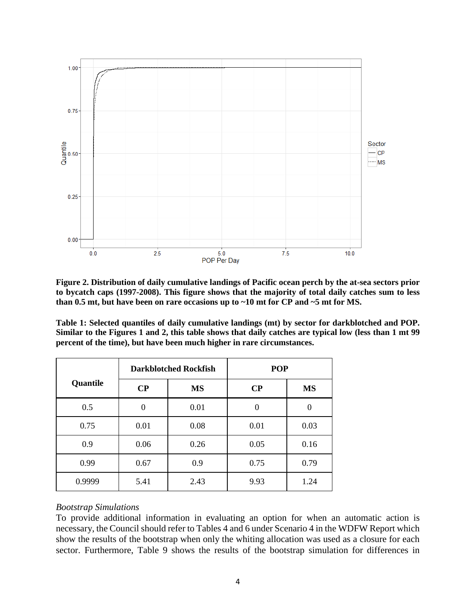

**Figure 2. Distribution of daily cumulative landings of Pacific ocean perch by the at-sea sectors prior to bycatch caps (1997-2008). This figure shows that the majority of total daily catches sum to less than 0.5 mt, but have been on rare occasions up to ~10 mt for CP and ~5 mt for MS.**

<span id="page-3-0"></span>**Table 1: Selected quantiles of daily cumulative landings (mt) by sector for darkblotched and POP. Similar to the Figures 1 and 2, this table shows that daily catches are typical low (less than 1 mt 99 percent of the time), but have been much higher in rare circumstances.**

|          | <b>Darkblotched Rockfish</b> |           | <b>POP</b> |           |  |
|----------|------------------------------|-----------|------------|-----------|--|
| Quantile | $\bf CP$                     | <b>MS</b> | $\bf CP$   | <b>MS</b> |  |
| 0.5      | $\theta$                     | 0.01      | 0          | 0         |  |
| 0.75     | 0.01                         | 0.08      | 0.01       | 0.03      |  |
| 0.9      | 0.06                         | 0.26      | 0.05       | 0.16      |  |
| 0.99     | 0.67                         | 0.9       | 0.75       | 0.79      |  |
| 0.9999   | 5.41                         | 2.43      | 9.93       | 1.24      |  |

### *Bootstrap Simulations*

To provide additional information in evaluating an option for when an automatic action is necessary, the Council should refer to Tables 4 and 6 under Scenario 4 in the WDFW Report which show the results of the bootstrap when only the whiting allocation was used as a closure for each sector. Furthermore, Table 9 shows the results of the bootstrap simulation for differences in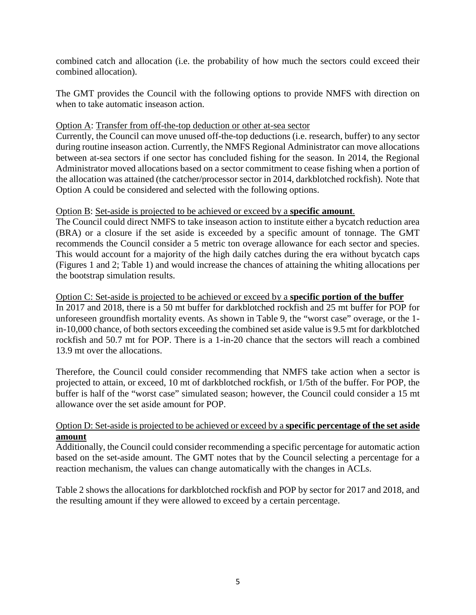combined catch and allocation (i.e. the probability of how much the sectors could exceed their combined allocation).

The GMT provides the Council with the following options to provide NMFS with direction on when to take automatic inseason action.

### Option A: Transfer from off-the-top deduction or other at-sea sector

Currently, the Council can move unused off-the-top deductions (i.e. research, buffer) to any sector during routine inseason action. Currently, the NMFS Regional Administrator can move allocations between at-sea sectors if one sector has concluded fishing for the season. In 2014, the Regional Administrator moved allocations based on a sector commitment to cease fishing when a portion of the allocation was attained (the catcher/processor sector in 2014, darkblotched rockfish). Note that Option A could be considered and selected with the following options.

## Option B: Set-aside is projected to be achieved or exceed by a **specific amount**.

The Council could direct NMFS to take inseason action to institute either a bycatch reduction area (BRA) or a closure if the set aside is exceeded by a specific amount of tonnage. The GMT recommends the Council consider a 5 metric ton overage allowance for each sector and species. This would account for a majority of the high daily catches during the era without bycatch caps (Figures 1 and 2; [Table 1\)](#page-3-0) and would increase the chances of attaining the whiting allocations per the bootstrap simulation results.

Option C: Set-aside is projected to be achieved or exceed by a **specific portion of the buffer** In 2017 and 2018, there is a 50 mt buffer for darkblotched rockfish and 25 mt buffer for POP for unforeseen groundfish mortality events. As shown in Table 9, the "worst case" overage, or the 1 in-10,000 chance, of both sectors exceeding the combined set aside value is 9.5 mt for darkblotched rockfish and 50.7 mt for POP. There is a 1-in-20 chance that the sectors will reach a combined 13.9 mt over the allocations.

Therefore, the Council could consider recommending that NMFS take action when a sector is projected to attain, or exceed, 10 mt of darkblotched rockfish, or 1/5th of the buffer. For POP, the buffer is half of the "worst case" simulated season; however, the Council could consider a 15 mt allowance over the set aside amount for POP.

## Option D: Set-aside is projected to be achieved or exceed by a **specific percentage of the set aside amount**

Additionally, the Council could consider recommending a specific percentage for automatic action based on the set-aside amount. The GMT notes that by the Council selecting a percentage for a reaction mechanism, the values can change automatically with the changes in ACLs.

[Table 2](#page-5-0) shows the allocations for darkblotched rockfish and POP by sector for 2017 and 2018, and the resulting amount if they were allowed to exceed by a certain percentage.